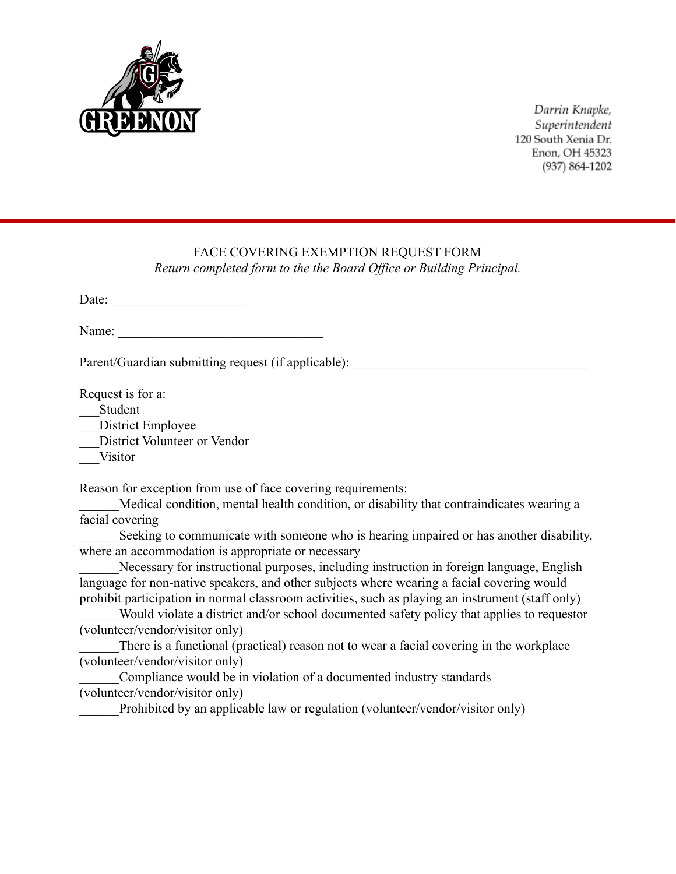

Darrin Knapke, Superintendent 120 South Xenia Dr. Enon, OH 45323 (937) 864-1202

## FACE COVERING EXEMPTION REQUEST FORM

*Return completed form to the the Board Office or Building Principal.*

Date: \_\_\_\_\_\_\_\_\_\_\_\_\_\_\_\_\_\_\_\_

Name:

Parent/Guardian submitting request (if applicable):

Request is for a:

\_\_\_Student

District Employee

\_\_\_District Volunteer or Vendor

\_\_\_Visitor

Reason for exception from use of face covering requirements:

Medical condition, mental health condition, or disability that contraindicates wearing a facial covering

Seeking to communicate with someone who is hearing impaired or has another disability, where an accommodation is appropriate or necessary

Necessary for instructional purposes, including instruction in foreign language, English language for non-native speakers, and other subjects where wearing a facial covering would prohibit participation in normal classroom activities, such as playing an instrument (staff only)

Would violate a district and/or school documented safety policy that applies to requestor (volunteer/vendor/visitor only)

There is a functional (practical) reason not to wear a facial covering in the workplace (volunteer/vendor/visitor only)

Compliance would be in violation of a documented industry standards (volunteer/vendor/visitor only)

Prohibited by an applicable law or regulation (volunteer/vendor/visitor only)